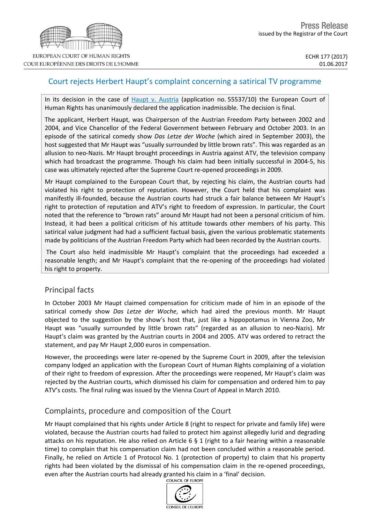# Court rejects Herbert Haupt's complaint concerning a satirical TV programme

In its decision in the case of Haupt v. [Austria](http://hudoc.echr.coe.int/eng?i=001-174212) (application no. 55537/10) the European Court of Human Rights has unanimously declared the application inadmissible. The decision is final.

The applicant, Herbert Haupt, was Chairperson of the Austrian Freedom Party between 2002 and 2004, and Vice Chancellor of the Federal Government between February and October 2003. In an episode of the satirical comedy show *Das Letze der Woche* (which aired in September 2003), the host suggested that Mr Haupt was "usually surrounded by little brown rats". This was regarded as an allusion to neo-Nazis. Mr Haupt brought proceedings in Austria against ATV, the television company which had broadcast the programme. Though his claim had been initially successful in 2004-5, his case was ultimately rejected after the Supreme Court re-opened proceedings in 2009.

Mr Haupt complained to the European Court that, by rejecting his claim, the Austrian courts had violated his right to protection of reputation. However, the Court held that his complaint was manifestly ill-founded, because the Austrian courts had struck a fair balance between Mr Haupt's right to protection of reputation and ATV's right to freedom of expression. In particular, the Court noted that the reference to "brown rats" around Mr Haupt had not been a personal criticism of him. Instead, it had been a political criticism of his attitude towards other members of his party. This satirical value judgment had had a sufficient factual basis, given the various problematic statements made by politicians of the Austrian Freedom Party which had been recorded by the Austrian courts.

The Court also held inadmissible Mr Haupt's complaint that the proceedings had exceeded a reasonable length; and Mr Haupt's complaint that the re-opening of the proceedings had violated his right to property.

## Principal facts

In October 2003 Mr Haupt claimed compensation for criticism made of him in an episode of the satirical comedy show *Das Letze der Woche*, which had aired the previous month. Mr Haupt objected to the suggestion by the show's host that, just like a hippopotamus in Vienna Zoo, Mr Haupt was "usually surrounded by little brown rats" (regarded as an allusion to neo-Nazis). Mr Haupt's claim was granted by the Austrian courts in 2004 and 2005. ATV was ordered to retract the statement, and pay Mr Haupt 2,000 euros in compensation.

However, the proceedings were later re-opened by the Supreme Court in 2009, after the television company lodged an application with the European Court of Human Rights complaining of a violation of their right to freedom of expression. After the proceedings were reopened, Mr Haupt's claim was rejected by the Austrian courts, which dismissed his claim for compensation and ordered him to pay ATV's costs. The final ruling was issued by the Vienna Court of Appeal in March 2010.

## Complaints, procedure and composition of the Court

Mr Haupt complained that his rights under Article 8 (right to respect for private and family life) were violated, because the Austrian courts had failed to protect him against allegedly lurid and degrading attacks on his reputation. He also relied on Article 6 § 1 (right to a fair hearing within a reasonable time) to complain that his compensation claim had not been concluded within a reasonable period. Finally, he relied on Article 1 of Protocol No. 1 (protection of property) to claim that his property rights had been violated by the dismissal of his compensation claim in the re-opened proceedings, even after the Austrian courts had already granted his claim in a 'final' decision.<br>
COUNCIL OF EUROPE



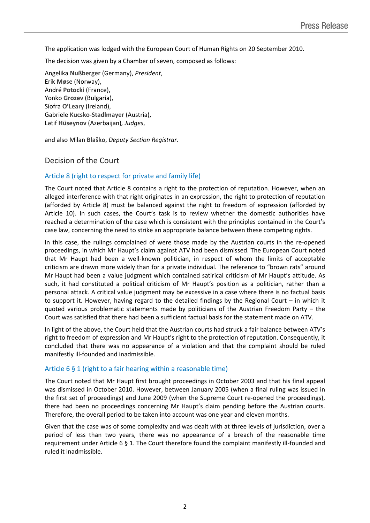The application was lodged with the European Court of Human Rights on 20 September 2010.

The decision was given by a Chamber of seven, composed as follows:

Angelika **Nußberger** (Germany), *President*, Erik **Møse** (Norway), André **Potocki** (France), Yonko **Grozev** (Bulgaria), Síofra **O'Leary** (Ireland), Gabriele **Kucsko-Stadlmayer** (Austria), Lәtif **Hüseynov** (Azerbaijan)*, Judges*,

and also Milan **Blaško**, *Deputy Section Registrar.*

### Decision of the Court

### Article 8 (right to respect for private and family life)

The Court noted that Article 8 contains a right to the protection of reputation. However, when an alleged interference with that right originates in an expression, the right to protection of reputation (afforded by Article 8) must be balanced against the right to freedom of expression (afforded by Article 10). In such cases, the Court's task is to review whether the domestic authorities have reached a determination of the case which is consistent with the principles contained in the Court's case law, concerning the need to strike an appropriate balance between these competing rights.

In this case, the rulings complained of were those made by the Austrian courts in the re-opened proceedings, in which Mr Haupt's claim against ATV had been dismissed. The European Court noted that Mr Haupt had been a well-known politician, in respect of whom the limits of acceptable criticism are drawn more widely than for a private individual. The reference to "brown rats" around Mr Haupt had been a value judgment which contained satirical criticism of Mr Haupt's attitude. As such, it had constituted a political criticism of Mr Haupt's position as a politician, rather than a personal attack. A critical value judgment may be excessive in a case where there is no factual basis to support it. However, having regard to the detailed findings by the Regional Court – in which it quoted various problematic statements made by politicians of the Austrian Freedom Party – the Court was satisfied that there had been a sufficient factual basis for the statement made on ATV.

In light of the above, the Court held that the Austrian courts had struck a fair balance between ATV's right to freedom of expression and Mr Haupt's right to the protection of reputation. Consequently, it concluded that there was no appearance of a violation and that the complaint should be ruled manifestly ill-founded and inadmissible.

#### Article 6 § 1 (right to a fair hearing within a reasonable time)

The Court noted that Mr Haupt first brought proceedings in October 2003 and that his final appeal was dismissed in October 2010. However, between January 2005 (when a final ruling was issued in the first set of proceedings) and June 2009 (when the Supreme Court re-opened the proceedings), there had been no proceedings concerning Mr Haupt's claim pending before the Austrian courts. Therefore, the overall period to be taken into account was one year and eleven months.

Given that the case was of some complexity and was dealt with at three levels of jurisdiction, over a period of less than two years, there was no appearance of a breach of the reasonable time requirement under Article 6 § 1. The Court therefore found the complaint manifestly ill-founded and ruled it inadmissible.